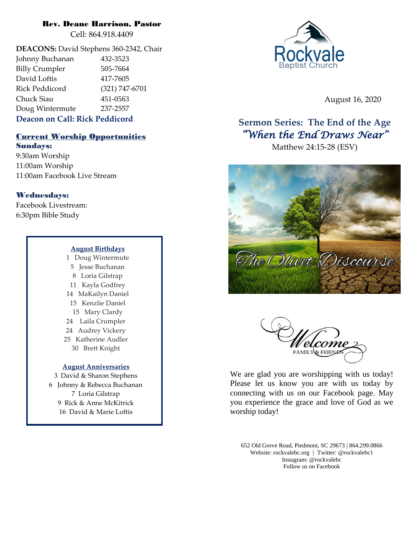# Rev. Deane Harrison, Pastor

Cell: 864.918.4409

**DEACONS:** David Stephens 360-2342, Chair Johnny Buchanan 432-3523 Billy Crumpler 505-7664 David Loftis 417-7605 Rick Peddicord (321) 747-6701 Chuck Siau 451-0563 Doug Wintermute 237-2557

# **Deacon on Call: Rick Peddicord**

# Current Worship Opportunities

Sundays: 9:30am Worship 11:00am Worship 11:00am Facebook Live Stream

# Wednesdays:

Facebook Livestream: 6:30pm Bible Study

#### **August Birthdays**

1 Doug Wintermute 5 Jesse Buchanan 8 Loria Gilstrap 11 Kayla Godfrey 14 MaKailyn Daniel 15 Kenzlie Daniel 15 Mary Clardy 24 Laila Crumpler 24 Audrey Vickery 25 Katherine Audler 30 Brett Knight

# **August Anniversaries**

3 David & Sharon Stephens 6 Johnny & Rebecca Buchanan 7 Loria Gilstrap 9 Rick & Anne McKitrick 16 David & Marie Loftis



August 16, 2020

# **Sermon Series: The End of the Age** *"When the End Draws Near"*

Matthew 24:15-28 (ESV)





We are glad you are worshipping with us today! Please let us know you are with us today by connecting with us on our Facebook page. May you experience the grace and love of God as we worship today!

652 Old Grove Road, Piedmont, SC 29673 | 864.299.0866 Website: rockvalebc.org *|* Twitter: @rockvalebc1 Instagram: @rockvalebc Follow us on Facebook